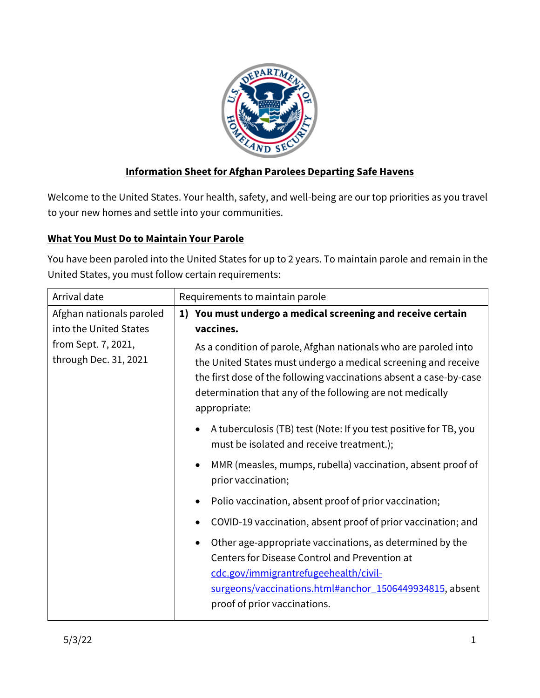

# **Information Sheet for Afghan Parolees Departing Safe Havens**

Welcome to the United States. Your health, safety, and well-being are our top priorities as you travel to your new homes and settle into your communities.

## **What You Must Do to Maintain Your Parole**

You have been paroled into the United States for up to 2 years. To maintain parole and remain in the United States, you must follow certain requirements:

| Arrival date                                                                                       | Requirements to maintain parole                                                                                                                                                                                                                                                                                                                                                          |  |
|----------------------------------------------------------------------------------------------------|------------------------------------------------------------------------------------------------------------------------------------------------------------------------------------------------------------------------------------------------------------------------------------------------------------------------------------------------------------------------------------------|--|
| Afghan nationals paroled<br>into the United States<br>from Sept. 7, 2021,<br>through Dec. 31, 2021 | 1) You must undergo a medical screening and receive certain<br>vaccines.<br>As a condition of parole, Afghan nationals who are paroled into<br>the United States must undergo a medical screening and receive<br>the first dose of the following vaccinations absent a case-by-case<br>determination that any of the following are not medically<br>appropriate:                         |  |
|                                                                                                    | A tuberculosis (TB) test (Note: If you test positive for TB, you<br>$\bullet$<br>must be isolated and receive treatment.);<br>MMR (measles, mumps, rubella) vaccination, absent proof of<br>$\bullet$<br>prior vaccination;                                                                                                                                                              |  |
|                                                                                                    | Polio vaccination, absent proof of prior vaccination;<br>$\bullet$<br>COVID-19 vaccination, absent proof of prior vaccination; and<br>Other age-appropriate vaccinations, as determined by the<br>٠<br>Centers for Disease Control and Prevention at<br>cdc.gov/immigrantrefugeehealth/civil-<br>surgeons/vaccinations.html#anchor 1506449934815, absent<br>proof of prior vaccinations. |  |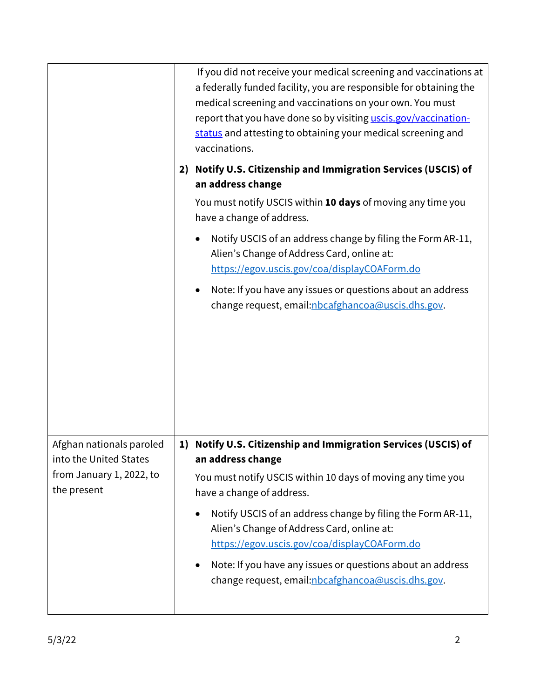|                                                    |    | If you did not receive your medical screening and vaccinations at<br>a federally funded facility, you are responsible for obtaining the<br>medical screening and vaccinations on your own. You must<br>report that you have done so by visiting uscis.gov/vaccination-<br>status and attesting to obtaining your medical screening and<br>vaccinations. |
|----------------------------------------------------|----|---------------------------------------------------------------------------------------------------------------------------------------------------------------------------------------------------------------------------------------------------------------------------------------------------------------------------------------------------------|
|                                                    | 2) | Notify U.S. Citizenship and Immigration Services (USCIS) of                                                                                                                                                                                                                                                                                             |
|                                                    |    | an address change                                                                                                                                                                                                                                                                                                                                       |
|                                                    |    | You must notify USCIS within 10 days of moving any time you<br>have a change of address.                                                                                                                                                                                                                                                                |
|                                                    |    | Notify USCIS of an address change by filing the Form AR-11,<br>Alien's Change of Address Card, online at:<br>https://egov.uscis.gov/coa/displayCOAForm.do                                                                                                                                                                                               |
|                                                    |    | Note: If you have any issues or questions about an address<br>change request, email: nbcafghancoa@uscis.dhs.gov.                                                                                                                                                                                                                                        |
|                                                    |    |                                                                                                                                                                                                                                                                                                                                                         |
| Afghan nationals paroled<br>into the United States | 1) | Notify U.S. Citizenship and Immigration Services (USCIS) of<br>an address change                                                                                                                                                                                                                                                                        |
| from January 1, 2022, to<br>the present            |    | You must notify USCIS within 10 days of moving any time you<br>have a change of address.                                                                                                                                                                                                                                                                |
|                                                    |    | Notify USCIS of an address change by filing the Form AR-11,<br>Alien's Change of Address Card, online at:<br>https://egov.uscis.gov/coa/displayCOAForm.do                                                                                                                                                                                               |
|                                                    |    | Note: If you have any issues or questions about an address<br>change request, email: nbcafghancoa@uscis.dhs.gov.                                                                                                                                                                                                                                        |
|                                                    |    |                                                                                                                                                                                                                                                                                                                                                         |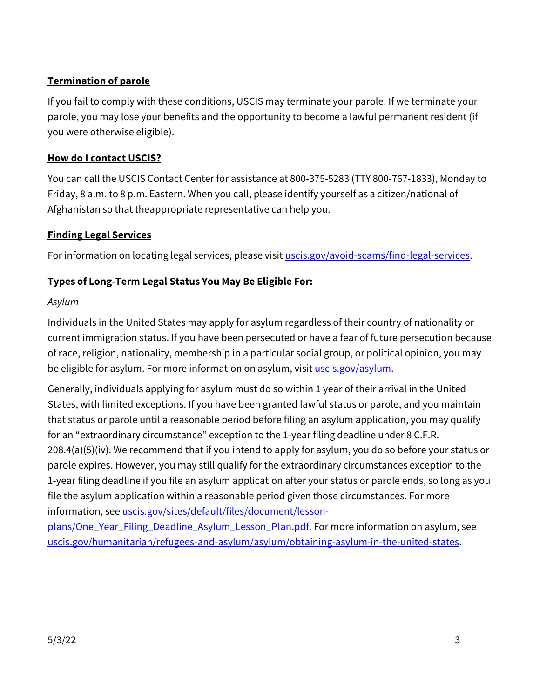# **Termination of parole**

If you fail to comply with these conditions, USCIS may terminate your parole. If we terminate your parole, you may lose your benefits and the opportunity to become a lawful permanent resident (if you were otherwise eligible).

## **How do I contact USCIS?**

You can call the USCIS Contact Center for assistance at 800-375-5283 (TTY 800-767-1833), Monday to Friday, 8 a.m. to 8 p.m. Eastern. When you call, please identify yourself as a citizen/national of Afghanistan so that theappropriate representative can help you.

# **Finding Legal Services**

For information on locating legal services, please visit *uscis.gov/avoid-scams/find-legal-services*.

# **Types of Long-Term Legal Status You May Be Eligible For:**

## *Asylum*

Individuals in the United States may apply for asylum regardless of their country of nationality or current immigration status. If you have been persecuted or have a fear of future persecution because of race, religion, nationality, membership in a particular social group, or political opinion, you may be eligible for asylum. For more information on asylum, visit [uscis.gov/asylum.](http://www.uscis.gov/asylum)

Generally, individuals applying for asylum must do so within 1 year of their arrival in the United States, with limited exceptions. If you have been granted lawful status or parole, and you maintain that status or parole until a reasonable period before filing an asylum application, you may qualify for an "extraordinary circumstance" exception to the 1-year filing deadline under 8 C.F.R. 208.4(a)(5)(iv). We recommend that if you intend to apply for asylum, you do so before your status or parole expires. However, you may still qualify for the extraordinary circumstances exception to the 1-year filing deadline if you file an asylum application after your status or parole ends, so long as you file the asylum application within a reasonable period given those circumstances. For more information, se[e uscis.gov/sites/default/files/document/lesson-](http://www.uscis.gov/sites/default/files/document/lesson-plans/One_Year_Filing_Deadline_Asylum_Lesson_Plan.pdf)

plans/One Year\_Filing\_Deadline\_Asylum\_Lesson\_Plan.pdf. For more information on asylum, see [uscis.gov/humanitarian/refugees-and-asylum/asylum/obtaining-asylum-in-the-united-states.](http://www.uscis.gov/humanitarian/refugees-and-asylum/asylum/obtaining-asylum-in-the-united-states)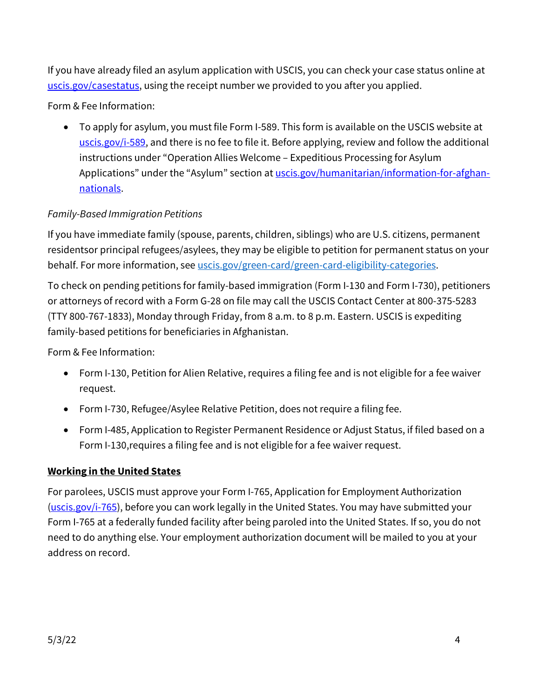If you have already filed an asylum application with USCIS, you can check your case status online at [uscis.gov/casestatus,](http://www.uscis.gov/casestatus) using the receipt number we provided to you after you applied.

Form & Fee Information:

• To apply for asylum, you must file Form I-589. This form is available on the USCIS website at [uscis.gov/i-589,](http://www.uscis.gov/i-589) and there is no fee to file it. Before applying, review and follow the additional instructions under "Operation Allies Welcome – Expeditious Processing for Asylum Applications" under the "Asylum" section at [uscis.gov/humanitarian/information-for-afghan](http://www.uscis.gov/humanitarian/information-for-afghan-nationals)[nationals.](http://www.uscis.gov/humanitarian/information-for-afghan-nationals)

# *Family-Based Immigration Petitions*

If you have immediate family (spouse, parents, children, siblings) who are U.S. citizens, permanent residentsor principal refugees/asylees, they may be eligible to petition for permanent status on your behalf. For more information, see [uscis.gov/green-card/green-card-eligibility-categories.](http://www.uscis.gov/green-card/green-card-eligibility-categories)

To check on pending petitions for family-based immigration (Form I-130 and Form I-730), petitioners or attorneys of record with a Form G-28 on file may call the USCIS Contact Center at 800-375-5283 (TTY 800-767-1833), Monday through Friday, from 8 a.m. to 8 p.m. Eastern. USCIS is expediting family-based petitions for beneficiaries in Afghanistan.

Form & Fee Information:

- Form I-130, Petition for Alien Relative, requires a filing fee and is not eligible for a fee waiver request.
- Form I-730, Refugee/Asylee Relative Petition, does not require a filing fee.
- Form I-485, Application to Register Permanent Residence or Adjust Status, if filed based on a Form I-130,requires a filing fee and is not eligible for a fee waiver request.

#### **Working in the United States**

For parolees, USCIS must approve your Form I-765, Application for Employment Authorization [\(uscis.gov/i-765\)](http://www.uscis.gov/i-765), before you can work legally in the United States. You may have submitted your Form I-765 at a federally funded facility after being paroled into the United States. If so, you do not need to do anything else. Your employment authorization document will be mailed to you at your address on record.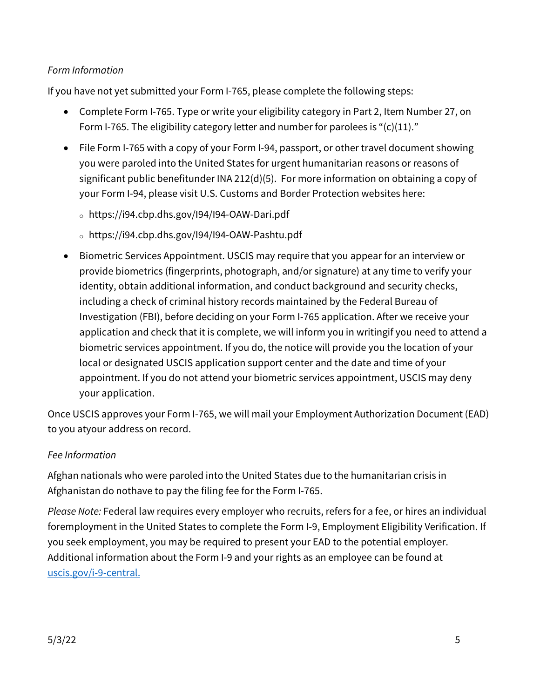# *Form Information*

If you have not yet submitted your Form I-765, please complete the following steps:

- Complete Form I-765. Type or write your eligibility category in Part 2, Item Number 27, on Form I-765. The eligibility category letter and number for parolees is " $(c)(11)$ ."
- File Form I-765 with a copy of your Form I-94, passport, or other travel document showing you were paroled into the United States for urgent humanitarian reasons or reasons of significant public benefitunder INA 212(d)(5). For more information on obtaining a copy of your Form I-94, please visit U.S. Customs and Border Protection websites here:
	- <sup>o</sup> https://i94.cbp.dhs.gov/I94/I94-OAW-Dari.pdf
	- <sup>o</sup> https://i94.cbp.dhs.gov/I94/I94-OAW-Pashtu.pdf
- Biometric Services Appointment. USCIS may require that you appear for an interview or provide biometrics (fingerprints, photograph, and/or signature) at any time to verify your identity, obtain additional information, and conduct background and security checks, including a check of criminal history records maintained by the Federal Bureau of Investigation (FBI), before deciding on your Form I-765 application. After we receive your application and check that it is complete, we will inform you in writingif you need to attend a biometric services appointment. If you do, the notice will provide you the location of your local or designated USCIS application support center and the date and time of your appointment. If you do not attend your biometric services appointment, USCIS may deny your application.

Once USCIS approves your Form I-765, we will mail your Employment Authorization Document (EAD) to you atyour address on record.

## *Fee Information*

Afghan nationals who were paroled into the United States due to the humanitarian crisis in Afghanistan do nothave to pay the filing fee for the Form I-765.

*Please Note:* Federal law requires every employer who recruits, refers for a fee, or hires an individual foremployment in the United States to complete the Form I-9, Employment Eligibility Verification. If you seek employment, you may be required to present your EAD to the potential employer. Additional information about the Form I-9 and your rights as an employee can be found at [uscis.gov/i-9-central.](https://www.uscis.gov/i-9-central/employee-rights-and-resources/employee-rights)